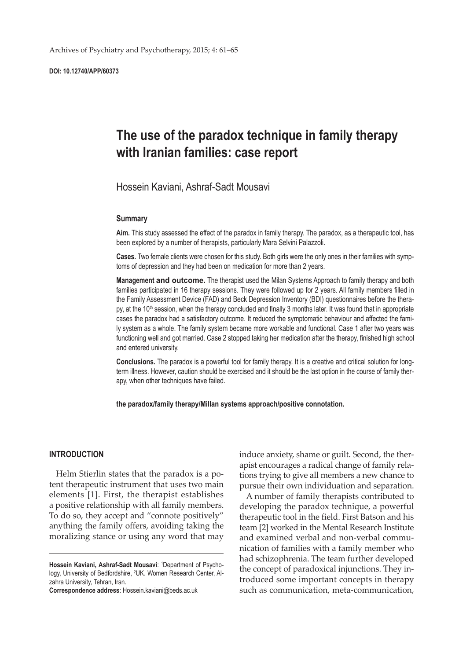**DOI: 10.12740/APP/60373**

# **The use of the paradox technique in family therapy with Iranian families: case report**

Hossein Kaviani, Ashraf-Sadt Mousavi

### **Summary**

**Aim.** This study assessed the effect of the paradox in family therapy. The paradox, as a therapeutic tool, has been explored by a number of therapists, particularly Mara Selvini Palazzoli.

**Cases.** Two female clients were chosen for this study. Both girls were the only ones in their families with symptoms of depression and they had been on medication for more than 2 years.

**Management and outcome.** The therapist used the Milan Systems Approach to family therapy and both families participated in 16 therapy sessions. They were followed up for 2 years. All family members filled in the Family Assessment Device (FAD) and Beck Depression Inventory (BDI) questionnaires before the therapy, at the 10<sup>th</sup> session, when the therapy concluded and finally 3 months later. It was found that in appropriate cases the paradox had a satisfactory outcome. It reduced the symptomatic behaviour and affected the family system as a whole. The family system became more workable and functional. Case 1 after two years was functioning well and got married. Case 2 stopped taking her medication after the therapy, finished high school and entered university.

**Conclusions.** The paradox is a powerful tool for family therapy. It is a creative and critical solution for longterm illness. However, caution should be exercised and it should be the last option in the course of family therapy, when other techniques have failed.

**the paradox/family therapy/Millan systems approach/positive connotation.**

# **INTRODUCTION**

Helm Stierlin states that the paradox is a potent therapeutic instrument that uses two main elements [1]. First, the therapist establishes a positive relationship with all family members. To do so, they accept and "connote positively" anything the family offers, avoiding taking the moralizing stance or using any word that may

**Correspondence address**: Hossein.kaviani@beds.ac.uk

induce anxiety, shame or guilt. Second, the therapist encourages a radical change of family relations trying to give all members a new chance to pursue their own individuation and separation.

A number of family therapists contributed to developing the paradox technique, a powerful therapeutic tool in the field. First Batson and his team [2] worked in the Mental Research Institute and examined verbal and non-verbal communication of families with a family member who had schizophrenia. The team further developed the concept of paradoxical injunctions. They introduced some important concepts in therapy such as communication, meta-communication,

Hossein Kaviani, Ashraf-Sadt Mousavi: <sup>1</sup>Department of Psychology, University of Bedfordshire, <sup>2</sup>UK. Women Research Center, Alzahra University, Tehran, Iran.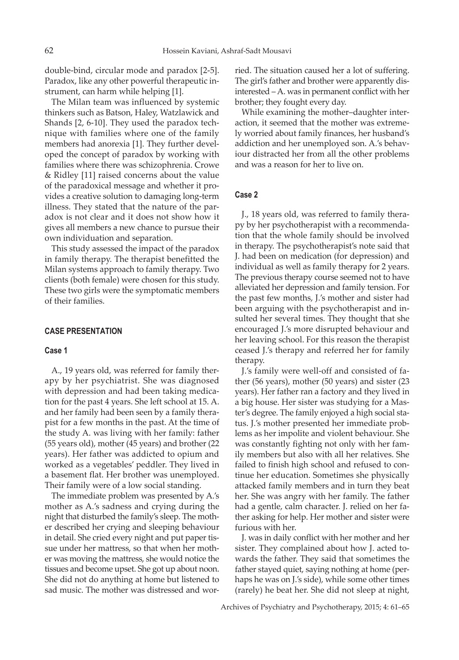double-bind, circular mode and paradox [2-5]. Paradox, like any other powerful therapeutic instrument, can harm while helping [1].

The Milan team was influenced by systemic thinkers such as Batson, Haley, Watzlawick and Shands [2, 6-10]. They used the paradox technique with families where one of the family members had anorexia [1]. They further developed the concept of paradox by working with families where there was schizophrenia. Crowe & Ridley [11] raised concerns about the value of the paradoxical message and whether it provides a creative solution to damaging long-term illness. They stated that the nature of the paradox is not clear and it does not show how it gives all members a new chance to pursue their own individuation and separation.

This study assessed the impact of the paradox in family therapy. The therapist benefitted the Milan systems approach to family therapy. Two clients (both female) were chosen for this study. These two girls were the symptomatic members of their families.

# **CASE PRESENTATION**

## **Case 1**

A., 19 years old, was referred for family therapy by her psychiatrist. She was diagnosed with depression and had been taking medication for the past 4 years. She left school at 15. A. and her family had been seen by a family therapist for a few months in the past. At the time of the study A. was living with her family: father (55 years old), mother (45 years) and brother (22 years). Her father was addicted to opium and worked as a vegetables' peddler. They lived in a basement flat. Her brother was unemployed. Their family were of a low social standing.

The immediate problem was presented by A.'s mother as A.'s sadness and crying during the night that disturbed the family's sleep. The mother described her crying and sleeping behaviour in detail. She cried every night and put paper tissue under her mattress, so that when her mother was moving the mattress, she would notice the tissues and become upset. She got up about noon. She did not do anything at home but listened to sad music. The mother was distressed and worried. The situation caused her a lot of suffering. The girl's father and brother were apparently disinterested – A. was in permanent conflict with her brother; they fought every day.

While examining the mother–daughter interaction, it seemed that the mother was extremely worried about family finances, her husband's addiction and her unemployed son. A.'s behaviour distracted her from all the other problems and was a reason for her to live on.

# **Case 2**

J., 18 years old, was referred to family therapy by her psychotherapist with a recommendation that the whole family should be involved in therapy. The psychotherapist's note said that J. had been on medication (for depression) and individual as well as family therapy for 2 years. The previous therapy course seemed not to have alleviated her depression and family tension. For the past few months, J.'s mother and sister had been arguing with the psychotherapist and insulted her several times. They thought that she encouraged J.'s more disrupted behaviour and her leaving school. For this reason the therapist ceased J.'s therapy and referred her for family therapy.

J.'s family were well-off and consisted of father (56 years), mother (50 years) and sister (23 years). Her father ran a factory and they lived in a big house. Her sister was studying for a Master's degree. The family enjoyed a high social status. J.'s mother presented her immediate problems as her impolite and violent behaviour. She was constantly fighting not only with her family members but also with all her relatives. She failed to finish high school and refused to continue her education. Sometimes she physically attacked family members and in turn they beat her. She was angry with her family. The father had a gentle, calm character. J. relied on her father asking for help. Her mother and sister were furious with her.

J. was in daily conflict with her mother and her sister. They complained about how J. acted towards the father. They said that sometimes the father stayed quiet, saying nothing at home (perhaps he was on J.'s side), while some other times (rarely) he beat her. She did not sleep at night,

Archives of Psychiatry and Psychotherapy, 2015; 4: 61–65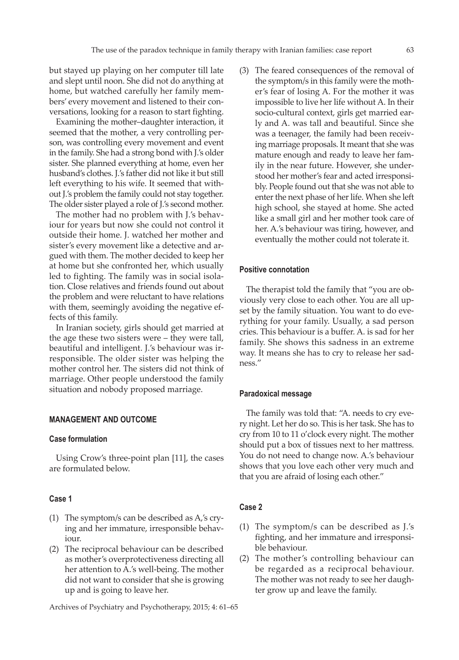but stayed up playing on her computer till late and slept until noon. She did not do anything at home, but watched carefully her family members' every movement and listened to their conversations, looking for a reason to start fighting.

Examining the mother–daughter interaction, it seemed that the mother, a very controlling person, was controlling every movement and event in the family. She had a strong bond with J.'s older sister. She planned everything at home, even her husband's clothes. J.'s father did not like it but still left everything to his wife. It seemed that without J.'s problem the family could not stay together. The older sister played a role of J.'s second mother.

The mother had no problem with J.'s behaviour for years but now she could not control it outside their home. J. watched her mother and sister's every movement like a detective and argued with them. The mother decided to keep her at home but she confronted her, which usually led to fighting. The family was in social isolation. Close relatives and friends found out about the problem and were reluctant to have relations with them, seemingly avoiding the negative effects of this family.

In Iranian society, girls should get married at the age these two sisters were – they were tall, beautiful and intelligent. J.'s behaviour was irresponsible. The older sister was helping the mother control her. The sisters did not think of marriage. Other people understood the family situation and nobody proposed marriage.

## **MANAGEMENT AND OUTCOME**

# **Case formulation**

Using Crow's three-point plan [11], the cases are formulated below.

## **Case 1**

- (1) The symptom/s can be described as  $A$ ,'s crying and her immature, irresponsible behaviour.
- (2) The reciprocal behaviour can be described as mother's overprotectiveness directing all her attention to A.'s well-being. The mother did not want to consider that she is growing up and is going to leave her.

Archives of Psychiatry and Psychotherapy, 2015; 4: 61–65

(3) The feared consequences of the removal of the symptom/s in this family were the mother's fear of losing A. For the mother it was impossible to live her life without A. In their socio-cultural context, girls get married early and A. was tall and beautiful. Since she was a teenager, the family had been receiving marriage proposals. It meant that she was mature enough and ready to leave her family in the near future. However, she understood her mother's fear and acted irresponsibly. People found out that she was not able to enter the next phase of her life. When she left high school, she stayed at home. She acted like a small girl and her mother took care of her. A.'s behaviour was tiring, however, and eventually the mother could not tolerate it.

# **Positive connotation**

The therapist told the family that "you are obviously very close to each other. You are all upset by the family situation. You want to do everything for your family. Usually, a sad person cries. This behaviour is a buffer. A. is sad for her family. She shows this sadness in an extreme way. It means she has to cry to release her sadness."

#### **Paradoxical message**

The family was told that: "A. needs to cry every night. Let her do so. This is her task. She has to cry from 10 to 11 o'clock every night. The mother should put a box of tissues next to her mattress. You do not need to change now. A.'s behaviour shows that you love each other very much and that you are afraid of losing each other."

# **Case 2**

- (1) The symptom/s can be described as  $J.'s$ fighting, and her immature and irresponsible behaviour.
- (2) The mother's controlling behaviour can be regarded as a reciprocal behaviour. The mother was not ready to see her daughter grow up and leave the family.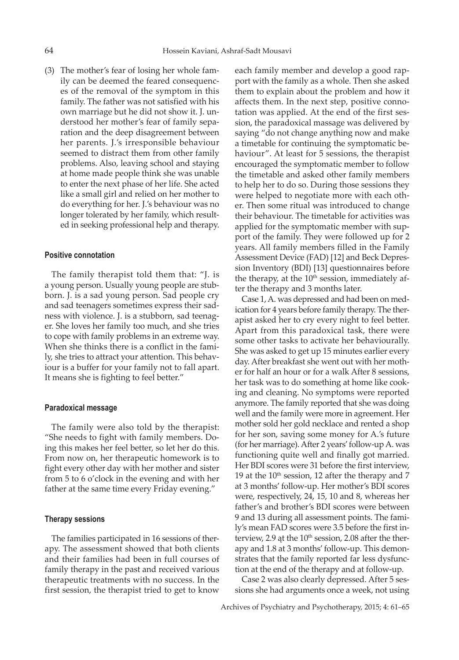(3) The mother's fear of losing her whole family can be deemed the feared consequences of the removal of the symptom in this family. The father was not satisfied with his own marriage but he did not show it. J. understood her mother's fear of family separation and the deep disagreement between her parents. J.'s irresponsible behaviour seemed to distract them from other family problems. Also, leaving school and staying at home made people think she was unable to enter the next phase of her life. She acted like a small girl and relied on her mother to do everything for her. J.'s behaviour was no longer tolerated by her family, which resulted in seeking professional help and therapy.

#### **Positive connotation**

The family therapist told them that: "J. is a young person. Usually young people are stubborn. J. is a sad young person. Sad people cry and sad teenagers sometimes express their sadness with violence. J. is a stubborn, sad teenager. She loves her family too much, and she tries to cope with family problems in an extreme way. When she thinks there is a conflict in the family, she tries to attract your attention. This behaviour is a buffer for your family not to fall apart. It means she is fighting to feel better."

## **Paradoxical message**

The family were also told by the therapist: "She needs to fight with family members. Doing this makes her feel better, so let her do this. From now on, her therapeutic homework is to fight every other day with her mother and sister from 5 to 6 o'clock in the evening and with her father at the same time every Friday evening."

# **Therapy sessions**

The families participated in 16 sessions of therapy. The assessment showed that both clients and their families had been in full courses of family therapy in the past and received various therapeutic treatments with no success. In the first session, the therapist tried to get to know each family member and develop a good rapport with the family as a whole. Then she asked them to explain about the problem and how it affects them. In the next step, positive connotation was applied. At the end of the first session, the paradoxical massage was delivered by saying "do not change anything now and make a timetable for continuing the symptomatic behaviour". At least for 5 sessions, the therapist encouraged the symptomatic member to follow the timetable and asked other family members to help her to do so. During those sessions they were helped to negotiate more with each other. Then some ritual was introduced to change their behaviour. The timetable for activities was applied for the symptomatic member with support of the family. They were followed up for 2 years. All family members filled in the Family Assessment Device (FAD) [12] and Beck Depression Inventory (BDI) [13] questionnaires before the therapy, at the  $10<sup>th</sup>$  session, immediately after the therapy and 3 months later.

Case 1, A. was depressed and had been on medication for 4 years before family therapy. The therapist asked her to cry every night to feel better. Apart from this paradoxical task, there were some other tasks to activate her behaviourally. She was asked to get up 15 minutes earlier every day. After breakfast she went out with her mother for half an hour or for a walk After 8 sessions, her task was to do something at home like cooking and cleaning. No symptoms were reported anymore. The family reported that she was doing well and the family were more in agreement. Her mother sold her gold necklace and rented a shop for her son, saving some money for A.'s future (for her marriage). After 2 years'follow-up A. was functioning quite well and finally got married. Her BDI scores were 31 before the first interview, 19 at the  $10^{th}$  session, 12 after the therapy and 7 at 3 months' follow-up. Her mother's BDI scores were, respectively, 24, 15, 10 and 8, whereas her father's and brother's BDI scores were between 9 and 13 during all assessment points. The family's mean FAD scores were 3.5 before the first interview, 2.9 ąt the  $10<sup>th</sup>$  session, 2.08 after the therapy and 1.8 at 3 months' follow-up. This demonstrates that the family reported far less dysfunction at the end of the therapy and at follow-up.

Case 2 was also clearly depressed. After 5 sessions she had arguments once a week, not using

Archives of Psychiatry and Psychotherapy, 2015; 4: 61–65